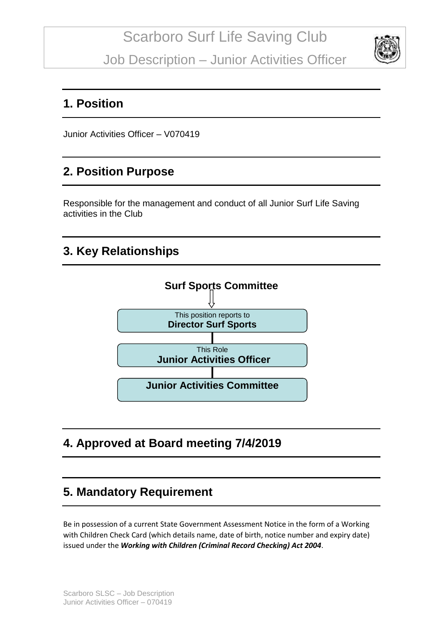Job Description – Junior Activities Officer



### **1. Position**

Junior Activities Officer – V070419

### **2. Position Purpose**

Responsible for the management and conduct of all Junior Surf Life Saving activities in the Club

## **3. Key Relationships**



### **4. Approved at Board meeting 7/4/2019**

# **5. Mandatory Requirement**

Be in possession of a current State Government Assessment Notice in the form of a Working with Children Check Card (which details name, date of birth, notice number and expiry date) issued under the *Working with Children (Criminal Record Checking) Act 2004*.